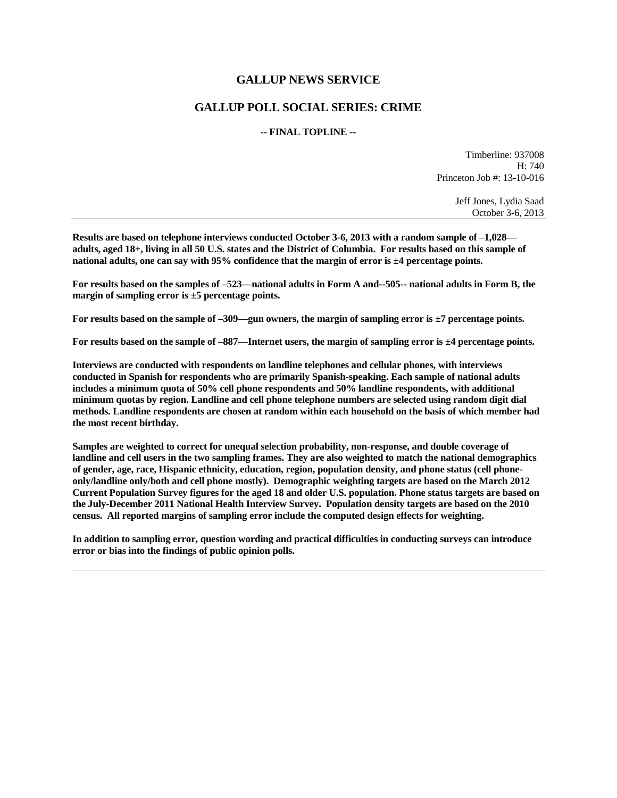# **GALLUP NEWS SERVICE**

# **GALLUP POLL SOCIAL SERIES: CRIME**

### **-- FINAL TOPLINE --**

Timberline: 937008 H: 740 Princeton Job #: 13-10-016

> Jeff Jones, Lydia Saad October 3-6, 2013

**Results are based on telephone interviews conducted October 3-6, 2013 with a random sample of –1,028 adults, aged 18+, living in all 50 U.S. states and the District of Columbia. For results based on this sample of national adults, one can say with 95% confidence that the margin of error is ±4 percentage points.**

**For results based on the samples of –523—national adults in Form A and--505-- national adults in Form B, the margin of sampling error is ±5 percentage points.**

**For results based on the sample of –309—gun owners, the margin of sampling error is ±7 percentage points.**

**For results based on the sample of –887—Internet users, the margin of sampling error is ±4 percentage points.**

**Interviews are conducted with respondents on landline telephones and cellular phones, with interviews conducted in Spanish for respondents who are primarily Spanish-speaking. Each sample of national adults includes a minimum quota of 50% cell phone respondents and 50% landline respondents, with additional minimum quotas by region. Landline and cell phone telephone numbers are selected using random digit dial methods. Landline respondents are chosen at random within each household on the basis of which member had the most recent birthday.**

**Samples are weighted to correct for unequal selection probability, non-response, and double coverage of landline and cell users in the two sampling frames. They are also weighted to match the national demographics of gender, age, race, Hispanic ethnicity, education, region, population density, and phone status (cell phoneonly/landline only/both and cell phone mostly). Demographic weighting targets are based on the March 2012 Current Population Survey figures for the aged 18 and older U.S. population. Phone status targets are based on the July-December 2011 National Health Interview Survey. Population density targets are based on the 2010 census. All reported margins of sampling error include the computed design effects for weighting.** 

**In addition to sampling error, question wording and practical difficulties in conducting surveys can introduce error or bias into the findings of public opinion polls.**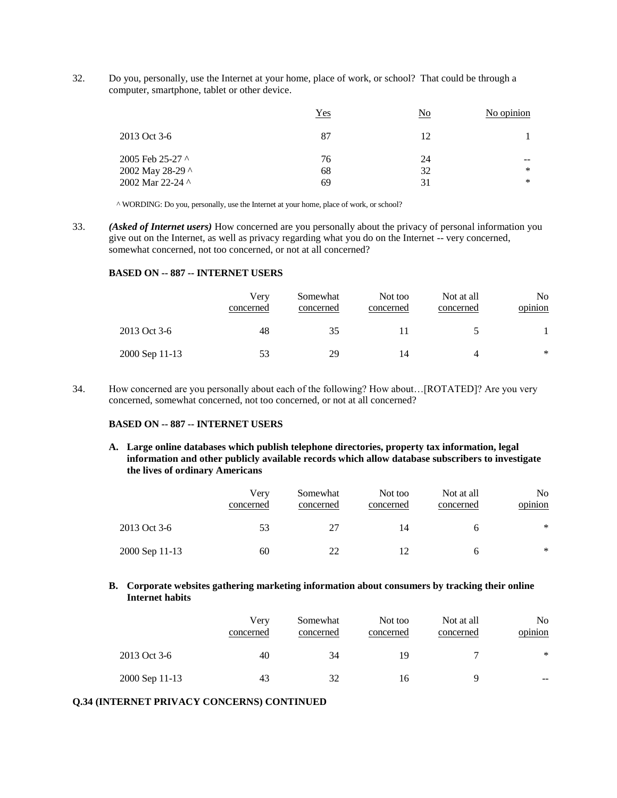32. Do you, personally, use the Internet at your home, place of work, or school? That could be through a computer, smartphone, tablet or other device.

|                                                          | <u>Yes</u>     | $\overline{\text{No}}$ | No opinion             |
|----------------------------------------------------------|----------------|------------------------|------------------------|
| 2013 Oct 3-6                                             | 87             | 12                     |                        |
| 2005 Feb 25-27 ^<br>2002 May 28-29 ^<br>2002 Mar 22-24 ^ | 76<br>68<br>69 | 24<br>32<br>31         | --<br>$\ast$<br>$\ast$ |

^ WORDING: Do you, personally, use the Internet at your home, place of work, or school?

33. *(Asked of Internet users)* How concerned are you personally about the privacy of personal information you give out on the Internet, as well as privacy regarding what you do on the Internet -- very concerned, somewhat concerned, not too concerned, or not at all concerned?

### **BASED ON -- 887 -- INTERNET USERS**

|                | Verv<br>concerned | Somewhat<br>concerned | Not too<br>concerned | Not at all<br>concerned | No.<br>opinion |
|----------------|-------------------|-----------------------|----------------------|-------------------------|----------------|
| 2013 Oct 3-6   | 48                | 35                    |                      |                         |                |
| 2000 Sep 11-13 | 53                | 29                    | 14                   | 4                       | $*$            |

34. How concerned are you personally about each of the following? How about…[ROTATED]? Are you very concerned, somewhat concerned, not too concerned, or not at all concerned?

### **BASED ON -- 887 -- INTERNET USERS**

**A. Large online databases which publish telephone directories, property tax information, legal information and other publicly available records which allow database subscribers to investigate the lives of ordinary Americans**

|                | Very<br>concerned | Somewhat<br>concerned | Not too<br>concerned | Not at all<br>concerned | No.<br>opinion |
|----------------|-------------------|-----------------------|----------------------|-------------------------|----------------|
| 2013 Oct 3-6   | 53                |                       | 14                   |                         | $\ast$         |
| 2000 Sep 11-13 | 60                | 22                    | 12                   | <sub>6</sub>            | $\ast$         |

### **B. Corporate websites gathering marketing information about consumers by tracking their online Internet habits**

|                | Very<br>concerned | Somewhat<br>concerned | Not too<br>concerned | Not at all<br>concerned | No.<br>opinion |
|----------------|-------------------|-----------------------|----------------------|-------------------------|----------------|
| 2013 Oct 3-6   | 40                | 34                    | 19                   |                         | $\ast$         |
| 2000 Sep 11-13 | 43                | 32                    | 16                   |                         | $- -$          |

#### **Q.34 (INTERNET PRIVACY CONCERNS) CONTINUED**